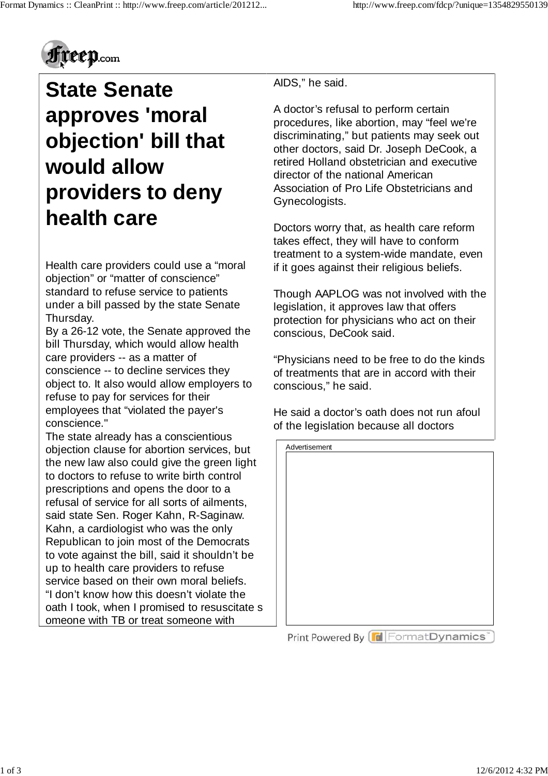

## **State Senate approves 'moral objection' bill that would allow providers to deny health care**

Health care providers could use a "moral objection" or "matter of conscience" standard to refuse service to patients under a bill passed by the state Senate Thursday.

By a 26-12 vote, the Senate approved the bill Thursday, which would allow health care providers -- as a matter of conscience -- to decline services they object to. It also would allow employers to refuse to pay for services for their employees that "violated the payer's conscience."

The state already has a conscientious objection clause for abortion services, but the new law also could give the green light to doctors to refuse to write birth control prescriptions and opens the door to a refusal of service for all sorts of ailments, said state Sen. Roger Kahn, R-Saginaw. Kahn, a cardiologist who was the only Republican to join most of the Democrats to vote against the bill, said it shouldn't be up to health care providers to refuse service based on their own moral beliefs. "I don't know how this doesn't violate the oath I took, when I promised to resuscitate s omeone with TB or treat someone with

AIDS," he said.

A doctor's refusal to perform certain procedures, like abortion, may "feel we're discriminating," but patients may seek out other doctors, said Dr. Joseph DeCook, a retired Holland obstetrician and executive director of the national American Association of Pro Life Obstetricians and Gynecologists.

Doctors worry that, as health care reform takes effect, they will have to conform treatment to a system-wide mandate, even if it goes against their religious beliefs.

Though AAPLOG was not involved with the legislation, it approves law that offers protection for physicians who act on their conscious, DeCook said.

"Physicians need to be free to do the kinds of treatments that are in accord with their conscious," he said.

He said a doctor's oath does not run afoul of the legislation because all doctors

| Advertisement |  |  |
|---------------|--|--|
|               |  |  |
|               |  |  |
|               |  |  |
|               |  |  |
|               |  |  |
|               |  |  |
|               |  |  |
|               |  |  |
|               |  |  |
|               |  |  |
|               |  |  |
|               |  |  |
|               |  |  |
|               |  |  |
|               |  |  |

Print Powered By [Fill Format Dynamics"]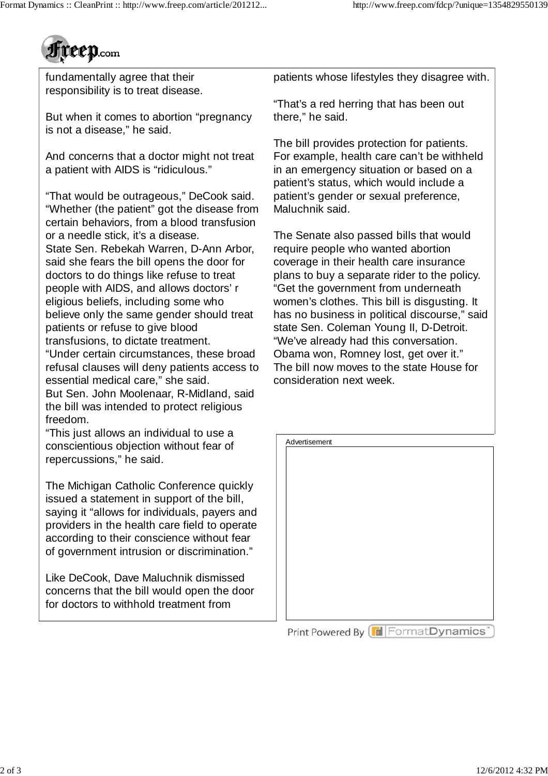

fundamentally agree that their responsibility is to treat disease.

But when it comes to abortion "pregnancy is not a disease," he said.

And concerns that a doctor might not treat a patient with AIDS is "ridiculous."

"That would be outrageous," DeCook said. "Whether (the patient" got the disease from certain behaviors, from a blood transfusion or a needle stick, it's a disease.

State Sen. Rebekah Warren, D-Ann Arbor, said she fears the bill opens the door for doctors to do things like refuse to treat people with AIDS, and allows doctors' r eligious beliefs, including some who believe only the same gender should treat patients or refuse to give blood transfusions, to dictate treatment.

"Under certain circumstances, these broad refusal clauses will deny patients access to essential medical care," she said.

But Sen. John Moolenaar, R-Midland, said the bill was intended to protect religious freedom.

"This just allows an individual to use a conscientious objection without fear of repercussions," he said.

The Michigan Catholic Conference quickly issued a statement in support of the bill, saying it "allows for individuals, payers and providers in the health care field to operate according to their conscience without fear of government intrusion or discrimination."

Like DeCook, Dave Maluchnik dismissed concerns that the bill would open the door for doctors to withhold treatment from

patients whose lifestyles they disagree with.

"That's a red herring that has been out there," he said.

The bill provides protection for patients. For example, health care can't be withheld in an emergency situation or based on a patient's status, which would include a patient's gender or sexual preference, Maluchnik said.

The Senate also passed bills that would require people who wanted abortion coverage in their health care insurance plans to buy a separate rider to the policy. "Get the government from underneath women's clothes. This bill is disgusting. It has no business in political discourse," said state Sen. Coleman Young II, D-Detroit. "We've already had this conversation. Obama won, Romney lost, get over it." The bill now moves to the state House for consideration next week.